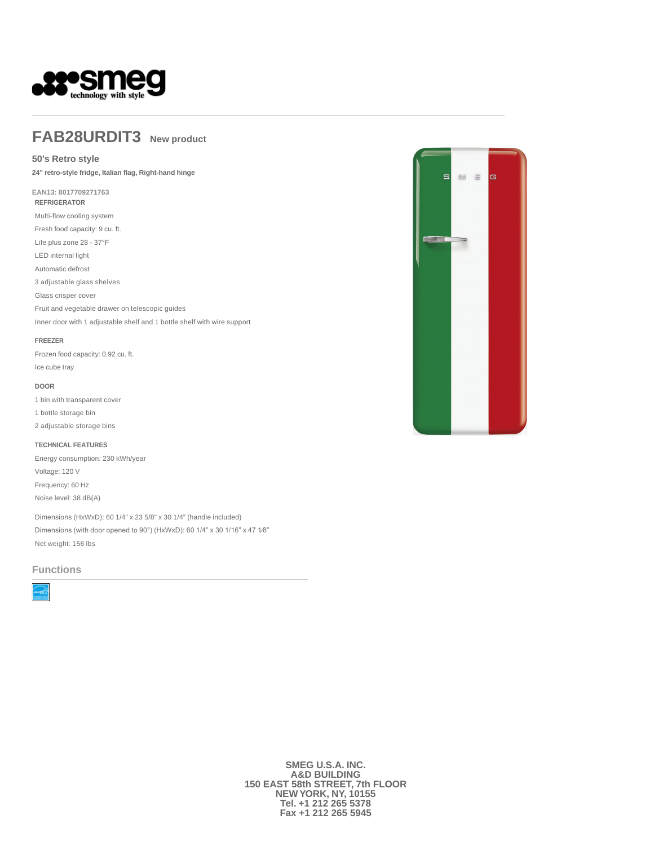

# **FAB28URDIT3 New product**

### **50's Retro style**

**24" retro-style fridge, Italian flag, Right-hand hinge** 

**EAN13: 8017709271763 REFRIGERATOR**

Multi-flow cooling system

Fresh food capacity: 9 cu. ft.

Life plus zone 28 - 37°F

LED internal light Automatic defrost

3 adjustable glass shelves

Glass crisper cover

Fruit and vegetable drawer on telescopic guides

Inner door with 1 adjustable shelf and 1 bottle shelf with wire support

#### **FREEZER**

Frozen food capacity: 0.92 cu. ft. Ice cube tray

#### **DOOR**

1 bin with transparent cover

- 1 bottle storage bin
- 2 adjustable storage bins

#### **TECHNICAL FEATURES**

Energy consumption: 230 kWh/year Voltage: 120 V Frequency: 60 Hz Noise level: 38 dB(A)

Dimensions (HxWxD): 60 1/4" x 23 5/8" x 30 1/4" (handle included) Dimensions (with door opened to 90°) (HxWxD): 60 1/4" x 30 1/16" x 47 1⁄8" Net weight: 156 lbs

## **Functions**



**SMEG U.S.A. INC. A&D BUILDING 150 EAST 58th STREET, 7th FLOOR NEW YORK, NY, 10155 Tel. +1 212 265 5378 Fax +1 212 265 5945**

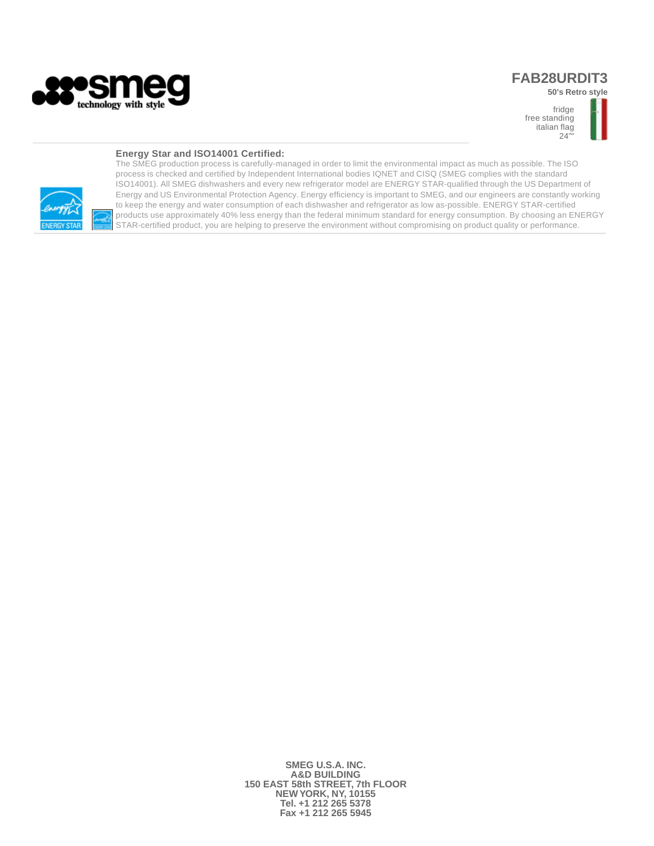

## **FAB28URDIT3**

**50's Retro style**  fridge free standing italian flag



### **Energy Star and ISO14001 Certified:**



The SMEG production process is carefully-managed in order to limit the environmental impact as much as possible. The ISO process is checked and certified by Independent International bodies IQNET and CISQ (SMEG complies with the standard ISO14001). All SMEG dishwashers and every new refrigerator model are ENERGY STAR-qualified through the US Department of Energy and US Environmental Protection Agency. Energy efficiency is important to SMEG, and our engineers are constantly working to keep the energy and water consumption of each dishwasher and refrigerator as low as-possible. ENERGY STAR-certified products use approximately 40% less energy than the federal minimum standard for energy consumption. By choosing an ENERGY STAR-certified product, you are helping to preserve the environment without compromising on product quality or performance.

> **SMEG U.S.A. INC. A&D BUILDING 150 EAST 58th STREET, 7th FLOOR NEW YORK, NY, 10155 Tel. +1 212 265 5378 Fax +1 212 265 5945**